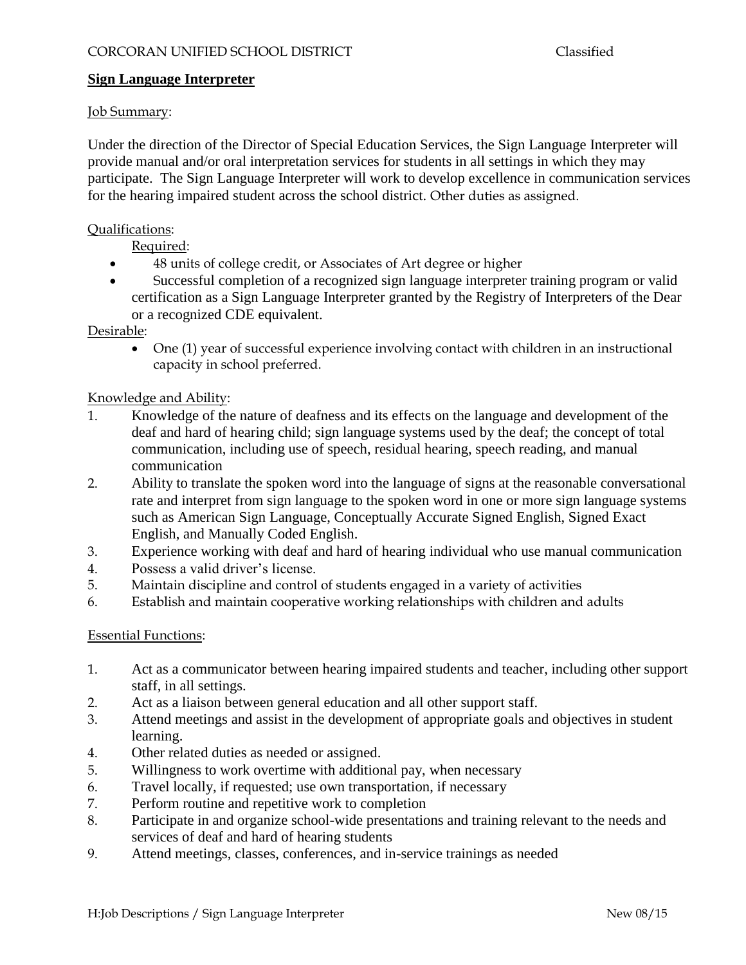# **Sign Language Interpreter**

## Job Summary:

Under the direction of the Director of Special Education Services, the Sign Language Interpreter will provide manual and/or oral interpretation services for students in all settings in which they may participate. The Sign Language Interpreter will work to develop excellence in communication services for the hearing impaired student across the school district. Other duties as assigned.

## Qualifications:

Required:

- 48 units of college credit, or Associates of Art degree or higher
- Successful completion of a recognized sign language interpreter training program or valid certification as a Sign Language Interpreter granted by the Registry of Interpreters of the Dear or a recognized CDE equivalent.

#### Desirable:

 One (1) year of successful experience involving contact with children in an instructional capacity in school preferred.

## Knowledge and Ability:

- 1. Knowledge of the nature of deafness and its effects on the language and development of the deaf and hard of hearing child; sign language systems used by the deaf; the concept of total communication, including use of speech, residual hearing, speech reading, and manual communication
- 2. Ability to translate the spoken word into the language of signs at the reasonable conversational rate and interpret from sign language to the spoken word in one or more sign language systems such as American Sign Language, Conceptually Accurate Signed English, Signed Exact English, and Manually Coded English.
- 3. Experience working with deaf and hard of hearing individual who use manual communication
- 4. Possess a valid driver's license.
- 5. Maintain discipline and control of students engaged in a variety of activities
- 6. Establish and maintain cooperative working relationships with children and adults

## Essential Functions:

- 1. Act as a communicator between hearing impaired students and teacher, including other support staff, in all settings.
- 2. Act as a liaison between general education and all other support staff.
- 3. Attend meetings and assist in the development of appropriate goals and objectives in student learning.
- 4. Other related duties as needed or assigned.
- 5. Willingness to work overtime with additional pay, when necessary
- 6. Travel locally, if requested; use own transportation, if necessary
- 7. Perform routine and repetitive work to completion
- 8. Participate in and organize school-wide presentations and training relevant to the needs and services of deaf and hard of hearing students
- 9. Attend meetings, classes, conferences, and in-service trainings as needed